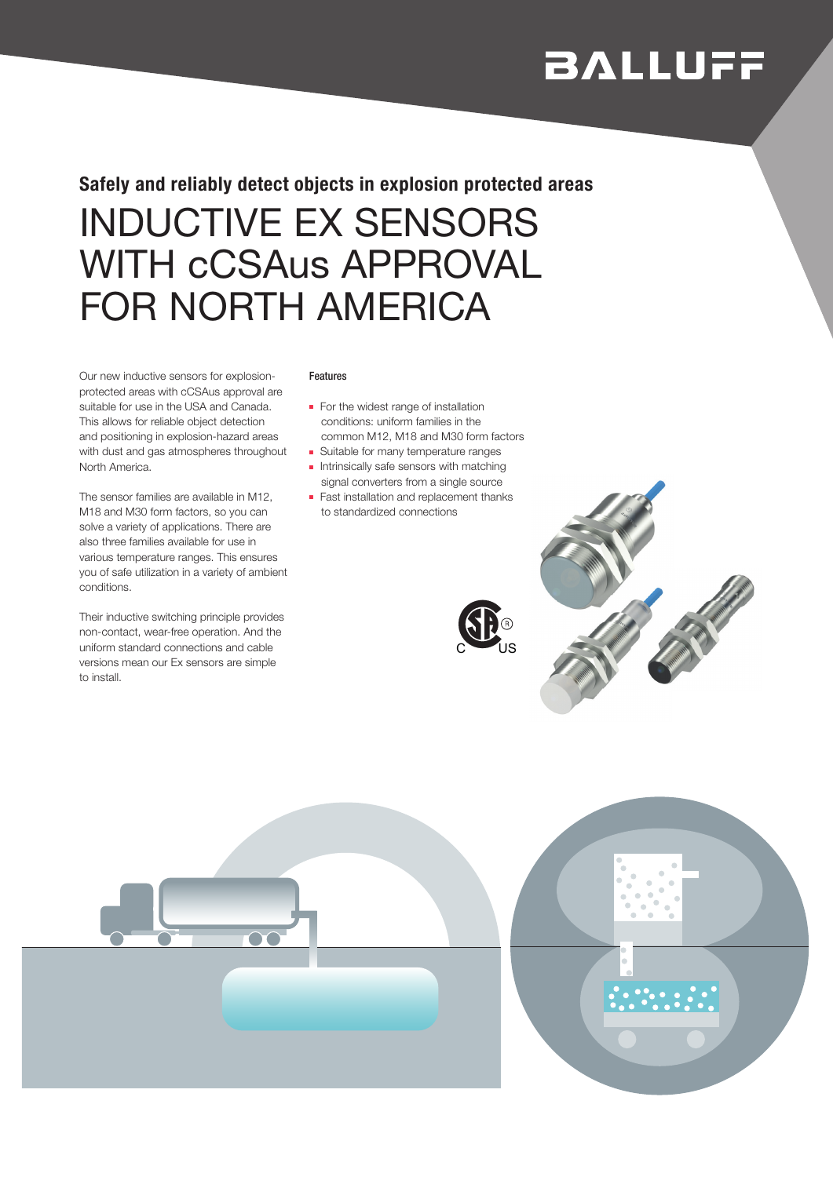# **BALLUFF**

## INDUCTIVE EX SENSORS WITH cCSAus APPROVAL FOR NORTH AMERICA Safely and reliably detect objects in explosion protected areas

Our new inductive sensors for explosionprotected areas with cCSAus approval are suitable for use in the USA and Canada. This allows for reliable object detection and positioning in explosion-hazard areas with dust and gas atmospheres throughout North America.

The sensor families are available in M12, M18 and M30 form factors, so you can solve a variety of applications. There are also three families available for use in various temperature ranges. This ensures you of safe utilization in a variety of ambient conditions.

Their inductive switching principle provides non-contact, wear-free operation. And the uniform standard connections and cable versions mean our Ex sensors are simple to install.

#### Features

- For the widest range of installation conditions: uniform families in the common M12, M18 and M30 form factors
- Suitable for many temperature ranges
- Intrinsically safe sensors with matching signal converters from a single source
- Fast installation and replacement thanks to standardized connections